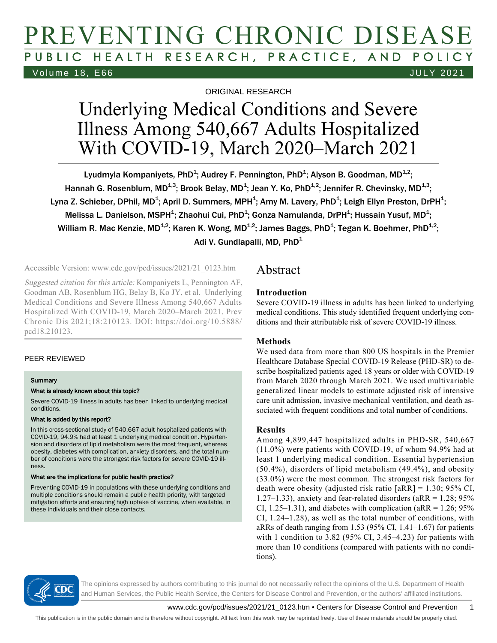# PREVENTING CHRONIC DISEASE PUBLIC HEALTH RESEARCH, PRACTICE, AND POLICY Volume 18, E66 JULY 2021

ORIGINAL RESEARCH

# Underlying Medical Conditions and Severe Illness Among 540,667 Adults Hospitalized With COVID-19, March 2020–March 2021

Lyudmyla Kompaniyets, PhD<sup>1</sup>; Audrey F. Pennington, PhD<sup>1</sup>; Alyson B. Goodman, MD<sup>1,2</sup>; Hannah G. Rosenblum, MD $^{1,3}$ ; Brook Belay, MD $^{1}$ ; Jean Y. Ko, PhD $^{1,2}$ ; Jennifer R. Chevinsky, MD $^{1,3}$ ; Lyna Z. Schieber, DPhil, MD<sup>1</sup>; April D. Summers, MPH<sup>1</sup>; Amy M. Lavery, PhD<sup>1</sup>; Leigh Ellyn Preston, DrPH<sup>1</sup>; Melissa L. Danielson, MSPH<sup>1</sup>; Zhaohui Cui, PhD<sup>1</sup>; Gonza Namulanda, DrPH<sup>1</sup>; Hussain Yusuf, MD<sup>1</sup>; William R. Mac Kenzie, MD $^{1,2}$ ; Karen K. Wong, MD $^{1,2}$ ; James Baggs, PhD $^4$ ; Tegan K. Boehmer, PhD $^{1,2}$ ; Adi V. Gundlapalli, MD, PhD<sup>1</sup>

Accessible Version: www.cdc.gov/pcd/issues/2021/21\_0123.htm

Suggested citation for this article: Kompaniyets L, Pennington AF, Goodman AB, Rosenblum HG, Belay B, Ko JY, et al. Underlying Medical Conditions and Severe Illness Among 540,667 Adults Hospitalized With COVID-19, March 2020–March 2021. Prev Chronic Dis 2021;18:210123. DOI: https://doi.org/10.5888/ pcd18.210123.

### PEER REVIEWED

### **Summary**

### What is already known about this topic?

Severe COVID-19 illness in adults has been linked to underlying medical conditions.

### What is added by this report?

In this cross-sectional study of 540,667 adult hospitalized patients with COVID-19, 94.9% had at least 1 underlying medical condition. Hypertension and disorders of lipid metabolism were the most frequent, whereas obesity, diabetes with complication, anxiety disorders, and the total number of conditions were the strongest risk factors for severe COVID-19 illness.

### What are the implications for public health practice?

Preventing COVID-19 in populations with these underlying conditions and multiple conditions should remain a public health priority, with targeted mitigation efforts and ensuring high uptake of vaccine, when available, in these individuals and their close contacts.

## Abstract

### **Introduction**

Severe COVID-19 illness in adults has been linked to underlying medical conditions. This study identified frequent underlying conditions and their attributable risk of severe COVID-19 illness.

### **Methods**

We used data from more than 800 US hospitals in the Premier Healthcare Database Special COVID-19 Release (PHD-SR) to describe hospitalized patients aged 18 years or older with COVID-19 from March 2020 through March 2021. We used multivariable generalized linear models to estimate adjusted risk of intensive care unit admission, invasive mechanical ventilation, and death associated with frequent conditions and total number of conditions.

### **Results**

Among 4,899,447 hospitalized adults in PHD-SR, 540,667 (11.0%) were patients with COVID-19, of whom 94.9% had at least 1 underlying medical condition. Essential hypertension (50.4%), disorders of lipid metabolism (49.4%), and obesity (33.0%) were the most common. The strongest risk factors for death were obesity (adjusted risk ratio  $[aRR] = 1.30; 95\% \text{ CI}$ , 1.27–1.33), anxiety and fear-related disorders (aRR =  $1.28$ ; 95% CI,  $1.25-1.31$ ), and diabetes with complication (aRR = 1.26; 95%) CI, 1.24–1.28), as well as the total number of conditions, with aRRs of death ranging from 1.53 (95% CI, 1.41–1.67) for patients with 1 condition to  $3.82$  (95% CI,  $3.45-4.23$ ) for patients with more than 10 conditions (compared with patients with no conditions).



The opinions expressed by authors contributing to this journal do not necessarily reflect the opinions of the U.S. Department of Health and Human Services, the Public Health Service, the Centers for Disease Control and Prevention, or the authors' affiliated institutions.

www.cdc.gov/pcd/issues/2021/21\_0123.htm • Centers for Disease Control and Prevention 1

This publication is in the public domain and is therefore without copyright. All text from this work may be reprinted freely. Use of these materials should be properly cited.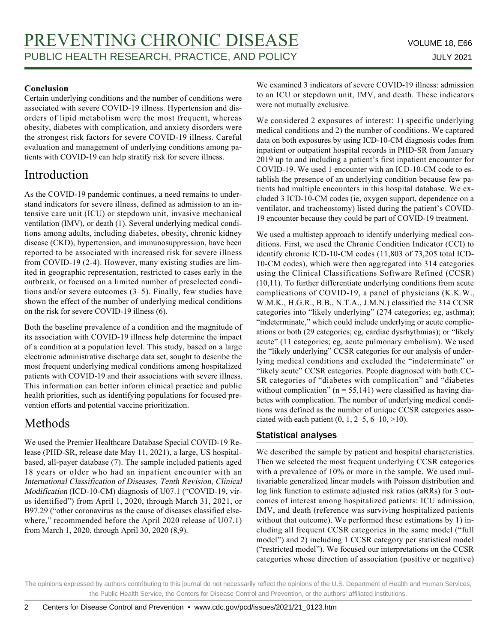### **Conclusion**

Certain underlying conditions and the number of conditions were associated with severe COVID-19 illness. Hypertension and disorders of lipid metabolism were the most frequent, whereas obesity, diabetes with complication, and anxiety disorders were the strongest risk factors for severe COVID-19 illness. Careful evaluation and management of underlying conditions among patients with COVID-19 can help stratify risk for severe illness.

## Introduction

As the COVID-19 pandemic continues, a need remains to understand indicators for severe illness, defined as admission to an intensive care unit (ICU) or stepdown unit, invasive mechanical ventilation (IMV), or death (1). Several underlying medical conditions among adults, including diabetes, obesity, chronic kidney disease (CKD), hypertension, and immunosuppression, have been reported to be associated with increased risk for severe illness from COVID-19 (2-4). However, many existing studies are limited in geographic representation, restricted to cases early in the outbreak, or focused on a limited number of preselected conditions and/or severe outcomes (3–5). Finally, few studies have shown the effect of the number of underlying medical conditions on the risk for severe COVID-19 illness (6).

Both the baseline prevalence of a condition and the magnitude of its association with COVID-19 illness help determine the impact of a condition at a population level. This study, based on a large electronic administrative discharge data set, sought to describe the most frequent underlying medical conditions among hospitalized patients with COVID-19 and their associations with severe illness. This information can better inform clinical practice and public health priorities, such as identifying populations for focused prevention efforts and potential vaccine prioritization.

## Methods

We used the Premier Healthcare Database Special COVID-19 Release (PHD-SR, release date May 11, 2021), a large, US hospitalbased, all-payer database (7). The sample included patients aged 18 years or older who had an inpatient encounter with an International Classification of Diseases, Tenth Revision, Clinical Modification (ICD-10-CM) diagnosis of U07.1 ("COVID-19, virus identified") from April 1, 2020, through March 31, 2021, or B97.29 ("other coronavirus as the cause of diseases classified elsewhere," recommended before the April 2020 release of U07.1) from March 1, 2020, through April 30, 2020 (8,9).

We examined 3 indicators of severe COVID-19 illness: admission to an ICU or stepdown unit, IMV, and death. These indicators were not mutually exclusive.

We considered 2 exposures of interest: 1) specific underlying medical conditions and 2) the number of conditions. We captured data on both exposures by using ICD-10-CM diagnosis codes from inpatient or outpatient hospital records in PHD-SR from January 2019 up to and including a patient's first inpatient encounter for COVID-19. We used 1 encounter with an ICD-10-CM code to establish the presence of an underlying condition because few patients had multiple encounters in this hospital database. We excluded 3 ICD-10-CM codes (ie, oxygen support, dependence on a ventilator, and tracheostomy) listed during the patient's COVID-19 encounter because they could be part of COVID-19 treatment.

We used a multistep approach to identify underlying medical conditions. First, we used the Chronic Condition Indicator (CCI) to identify chronic ICD-10-CM codes (11,803 of 73,205 total ICD-10-CM codes), which were then aggregated into 314 categories using the Clinical Classifications Software Refined (CCSR) (10,11). To further differentiate underlying conditions from acute complications of COVID-19, a panel of physicians (K.K.W., W.M.K., H.G.R., B.B., N.T.A., J.M.N.) classified the 314 CCSR categories into "likely underlying" (274 categories; eg, asthma); "indeterminate," which could include underlying or acute complications or both (29 categories; eg, cardiac dysrhythmias); or "likely acute" (11 categories; eg, acute pulmonary embolism). We used the "likely underlying" CCSR categories for our analysis of underlying medical conditions and excluded the "indeterminate" or "likely acute" CCSR categories. People diagnosed with both CC-SR categories of "diabetes with complication" and "diabetes without complication" ( $n = 55,141$ ) were classified as having diabetes with complication. The number of underlying medical conditions was defined as the number of unique CCSR categories associated with each patient  $(0, 1, 2-5, 6-10, >10)$ .

## Statistical analyses

We described the sample by patient and hospital characteristics. Then we selected the most frequent underlying CCSR categories with a prevalence of 10% or more in the sample. We used multivariable generalized linear models with Poisson distribution and log link function to estimate adjusted risk ratios (aRRs) for 3 outcomes of interest among hospitalized patients: ICU admission, IMV, and death (reference was surviving hospitalized patients without that outcome). We performed these estimations by 1) including all frequent CCSR categories in the same model ("full model") and 2) including 1 CCSR category per statistical model ("restricted model"). We focused our interpretations on the CCSR categories whose direction of association (positive or negative)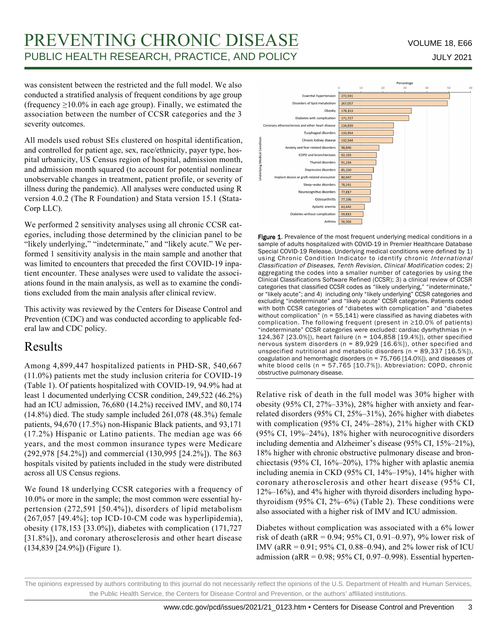# PREVENTING CHRONIC DISEASE VOLUME 18, E66 PUBLIC HEALTH RESEARCH, PRACTICE, AND POLICY **FOUR ALL ASSESSED ASSESS** JULY 2021

was consistent between the restricted and the full model. We also conducted a stratified analysis of frequent conditions by age group (frequency  $\geq$ 10.0% in each age group). Finally, we estimated the association between the number of CCSR categories and the 3 severity outcomes.

All models used robust SEs clustered on hospital identification, and controlled for patient age, sex, race/ethnicity, payer type, hospital urbanicity, US Census region of hospital, admission month, and admission month squared (to account for potential nonlinear unobservable changes in treatment, patient profile, or severity of illness during the pandemic). All analyses were conducted using R version 4.0.2 (The R Foundation) and Stata version 15.1 (Stata-Corp LLC).

We performed 2 sensitivity analyses using all chronic CCSR categories, including those determined by the clinician panel to be "likely underlying," "indeterminate," and "likely acute." We performed 1 sensitivity analysis in the main sample and another that was limited to encounters that preceded the first COVID-19 inpatient encounter. These analyses were used to validate the associations found in the main analysis, as well as to examine the conditions excluded from the main analysis after clinical review.

This activity was reviewed by the Centers for Disease Control and Prevention (CDC) and was conducted according to applicable federal law and CDC policy.

## Results

Among 4,899,447 hospitalized patients in PHD-SR, 540,667 (11.0%) patients met the study inclusion criteria for COVID-19 (Table 1). Of patients hospitalized with COVID-19, 94.9% had at least 1 documented underlying CCSR condition, 249,522 (46.2%) had an ICU admission, 76,680 (14.2%) received IMV, and 80,174 (14.8%) died. The study sample included 261,078 (48.3%) female patients, 94,670 (17.5%) non-Hispanic Black patients, and 93,171 (17.2%) Hispanic or Latino patients. The median age was 66 years, and the most common insurance types were Medicare (292,978 [54.2%]) and commercial (130,995 [24.2%]). The 863 hospitals visited by patients included in the study were distributed across all US Census regions.

We found 18 underlying CCSR categories with a frequency of 10.0% or more in the sample; the most common were essential hypertension (272,591 [50.4%]), disorders of lipid metabolism (267,057 [49.4%]; top ICD-10-CM code was hyperlipidemia), obesity (178,153 [33.0%]), diabetes with complication (171,727 [31.8%]), and coronary atherosclerosis and other heart disease (134,839 [24.9%]) (Figure 1).



Figure 1. Prevalence of the most frequent underlying medical conditions in a sample of adults hospitalized with COVID-19 in Premier Healthcare Database Special COVID-19 Release. Underlying medical conditions were defined by 1) using Chronic Condition Indicator to identify chronic International Classification of Diseases, Tenth Revision, Clinical Modification codes; 2) aggregating the codes into a smaller number of categories by using the Clinical Classifications Software Refined (CCSR); 3) a clinical review of CCSR categories that classified CCSR codes as "likely underlying," "indeterminate," or "likely acute"; and 4) including only "likely underlying" CCSR categories and excluding "indeterminate" and "likely acute" CCSR categories. Patients coded with both CCSR categories of "diabetes with complication" and "diabetes without complication" ( $n = 55,141$ ) were classified as having diabetes with complication. The following frequent (present in ≥10.0% of patients) "indeterminate" CCSR categories were excluded: cardiac dysrhythmias (n = 124,367 [23.0%]), heart failure (n = 104,858 [19.4%]), other specified nervous system disorders (n = 89,929 [16.6%]), other specified and unspecified nutritional and metabolic disorders (n = 89,337 [16.5%]), coagulation and hemorrhagic disorders (n = 75,766 [14.0%]), and diseases of white blood cells (n = 57,765 [10.7%]). Abbreviation: COPD, chronic obstructive pulmonary disease.

Relative risk of death in the full model was 30% higher with obesity (95% CI, 27%–33%), 28% higher with anxiety and fearrelated disorders (95% CI, 25%–31%), 26% higher with diabetes with complication (95% CI, 24%–28%), 21% higher with CKD (95% CI, 19%–24%), 18% higher with neurocognitive disorders including dementia and Alzheimer's disease (95% CI, 15%–21%), 18% higher with chronic obstructive pulmonary disease and bronchiectasis (95% CI, 16%–20%), 17% higher with aplastic anemia including anemia in CKD (95% CI, 14%–19%), 14% higher with coronary atherosclerosis and other heart disease (95% CI, 12%–16%), and 4% higher with thyroid disorders including hypothyroidism  $(95\% \text{ CI}, 2\% - 6\%)$  (Table 2). These conditions were also associated with a higher risk of IMV and ICU admission.

Diabetes without complication was associated with a 6% lower risk of death (aRR = 0.94; 95% CI, 0.91–0.97), 9% lower risk of IMV (aRR = 0.91; 95% CI, 0.88–0.94), and 2% lower risk of ICU admission (a $RR = 0.98$ ; 95% CI, 0.97–0.998). Essential hyperten-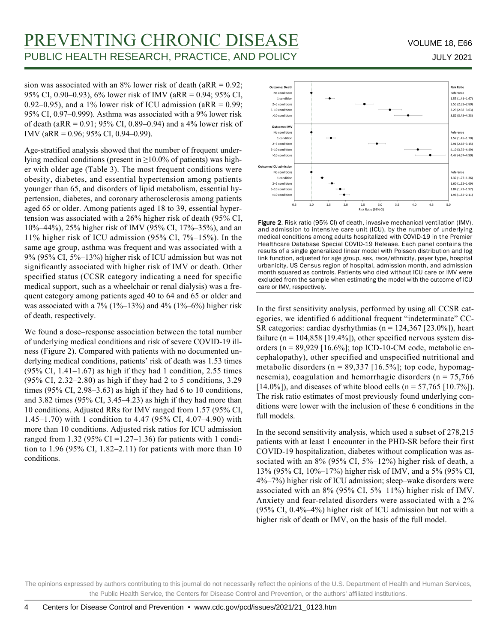sion was associated with an 8% lower risk of death (aRR =  $0.92$ ; 95% CI, 0.90–0.93), 6% lower risk of IMV (aRR = 0.94; 95% CI, 0.92–0.95), and a 1% lower risk of ICU admission (aRR =  $0.99$ ; 95% CI, 0.97–0.999). Asthma was associated with a 9% lower risk of death (aRR = 0.91; 95% CI, 0.89–0.94) and a 4% lower risk of IMV (aRR = 0.96; 95% CI, 0.94–0.99).

Age-stratified analysis showed that the number of frequent underlying medical conditions (present in ≥10.0% of patients) was higher with older age (Table 3). The most frequent conditions were obesity, diabetes, and essential hypertension among patients younger than 65, and disorders of lipid metabolism, essential hypertension, diabetes, and coronary atherosclerosis among patients aged 65 or older. Among patients aged 18 to 39, essential hypertension was associated with a 26% higher risk of death (95% CI, 10%–44%), 25% higher risk of IMV (95% CI, 17%–35%), and an 11% higher risk of ICU admission (95% CI, 7%–15%). In the same age group, asthma was frequent and was associated with a 9% (95% CI, 5%–13%) higher risk of ICU admission but was not significantly associated with higher risk of IMV or death. Other specified status (CCSR category indicating a need for specific medical support, such as a wheelchair or renal dialysis) was a frequent category among patients aged 40 to 64 and 65 or older and was associated with a  $7\%$  (1%–13%) and 4% (1%–6%) higher risk of death, respectively.

We found a dose–response association between the total number of underlying medical conditions and risk of severe COVID-19 illness (Figure 2). Compared with patients with no documented underlying medical conditions, patients' risk of death was 1.53 times  $(95\% \text{ CI}, 1.41-1.67)$  as high if they had 1 condition, 2.55 times (95% CI, 2.32–2.80) as high if they had 2 to 5 conditions, 3.29 times (95% CI, 2.98–3.63) as high if they had 6 to 10 conditions, and 3.82 times (95% CI, 3.45–4.23) as high if they had more than 10 conditions. Adjusted RRs for IMV ranged from 1.57 (95% CI, 1.45–1.70) with 1 condition to 4.47 (95% CI, 4.07–4.90) with more than 10 conditions. Adjusted risk ratios for ICU admission ranged from 1.32 (95% CI =  $1.27-1.36$ ) for patients with 1 condition to 1.96 (95% CI, 1.82–2.11) for patients with more than 10 conditions.



Figure 2. Risk ratio (95% CI) of death, invasive mechanical ventilation (IMV), and admission to intensive care unit (ICU), by the number of underlying medical conditions among adults hospitalized with COVID-19 in the Premier Healthcare Database Special COVID-19 Release. Each panel contains the results of a single generalized linear model with Poisson distribution and log link function, adjusted for age group, sex, race/ethnicity, payer type, hospital urbanicity, US Census region of hospital, admission month, and admission month squared as controls. Patients who died without ICU care or IMV were excluded from the sample when estimating the model with the outcome of ICU care or IMV, respectively.

In the first sensitivity analysis, performed by using all CCSR categories, we identified 6 additional frequent "indeterminate" CC-SR categories: cardiac dysrhythmias ( $n = 124,367$  [23.0%]), heart failure ( $n = 104,858$  [19.4%]), other specified nervous system disorders ( $n = 89,929$  [16.6%]; top ICD-10-CM code, metabolic encephalopathy), other specified and unspecified nutritional and metabolic disorders ( $n = 89,337$  [16.5%]; top code, hypomagnesemia), coagulation and hemorrhagic disorders ( $n = 75,766$ )  $[14.0\%]$ , and diseases of white blood cells (n = 57,765  $[10.7\%]$ ). The risk ratio estimates of most previously found underlying conditions were lower with the inclusion of these 6 conditions in the full models.

In the second sensitivity analysis, which used a subset of 278,215 patients with at least 1 encounter in the PHD-SR before their first COVID-19 hospitalization, diabetes without complication was associated with an 8% (95% CI, 5%–12%) higher risk of death, a 13% (95% CI, 10%–17%) higher risk of IMV, and a 5% (95% CI, 4%–7%) higher risk of ICU admission; sleep–wake disorders were associated with an 8% (95% CI, 5%–11%) higher risk of IMV. Anxiety and fear-related disorders were associated with a 2% (95% CI, 0.4%–4%) higher risk of ICU admission but not with a higher risk of death or IMV, on the basis of the full model.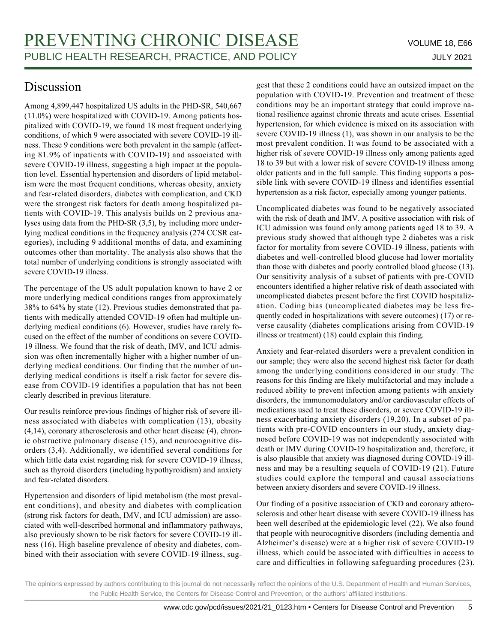# Discussion

Among 4,899,447 hospitalized US adults in the PHD-SR, 540,667 (11.0%) were hospitalized with COVID-19. Among patients hospitalized with COVID-19, we found 18 most frequent underlying conditions, of which 9 were associated with severe COVID-19 illness. These 9 conditions were both prevalent in the sample (affecting 81.9% of inpatients with COVID-19) and associated with severe COVID-19 illness, suggesting a high impact at the population level. Essential hypertension and disorders of lipid metabolism were the most frequent conditions, whereas obesity, anxiety and fear-related disorders, diabetes with complication, and CKD were the strongest risk factors for death among hospitalized patients with COVID-19. This analysis builds on 2 previous analyses using data from the PHD-SR (3,5), by including more underlying medical conditions in the frequency analysis (274 CCSR categories), including 9 additional months of data, and examining outcomes other than mortality. The analysis also shows that the total number of underlying conditions is strongly associated with severe COVID-19 illness.

The percentage of the US adult population known to have 2 or more underlying medical conditions ranges from approximately 38% to 64% by state (12). Previous studies demonstrated that patients with medically attended COVID-19 often had multiple underlying medical conditions (6). However, studies have rarely focused on the effect of the number of conditions on severe COVID-19 illness. We found that the risk of death, IMV, and ICU admission was often incrementally higher with a higher number of underlying medical conditions. Our finding that the number of underlying medical conditions is itself a risk factor for severe disease from COVID-19 identifies a population that has not been clearly described in previous literature.

Our results reinforce previous findings of higher risk of severe illness associated with diabetes with complication (13), obesity (4,14), coronary atherosclerosis and other heart disease (4), chronic obstructive pulmonary disease (15), and neurocognitive disorders (3,4). Additionally, we identified several conditions for which little data exist regarding risk for severe COVID-19 illness, such as thyroid disorders (including hypothyroidism) and anxiety and fear-related disorders.

Hypertension and disorders of lipid metabolism (the most prevalent conditions), and obesity and diabetes with complication (strong risk factors for death, IMV, and ICU admission) are associated with well-described hormonal and inflammatory pathways, also previously shown to be risk factors for severe COVID-19 illness (16). High baseline prevalence of obesity and diabetes, combined with their association with severe COVID-19 illness, suggest that these 2 conditions could have an outsized impact on the population with COVID-19. Prevention and treatment of these conditions may be an important strategy that could improve national resilience against chronic threats and acute crises. Essential hypertension, for which evidence is mixed on its association with severe COVID-19 illness (1), was shown in our analysis to be the most prevalent condition. It was found to be associated with a higher risk of severe COVID-19 illness only among patients aged 18 to 39 but with a lower risk of severe COVID-19 illness among older patients and in the full sample. This finding supports a possible link with severe COVID-19 illness and identifies essential hypertension as a risk factor, especially among younger patients.

Uncomplicated diabetes was found to be negatively associated with the risk of death and IMV. A positive association with risk of ICU admission was found only among patients aged 18 to 39. A previous study showed that although type 2 diabetes was a risk factor for mortality from severe COVID-19 illness, patients with diabetes and well-controlled blood glucose had lower mortality than those with diabetes and poorly controlled blood glucose (13). Our sensitivity analysis of a subset of patients with pre-COVID encounters identified a higher relative risk of death associated with uncomplicated diabetes present before the first COVID hospitalization. Coding bias (uncomplicated diabetes may be less frequently coded in hospitalizations with severe outcomes) (17) or reverse causality (diabetes complications arising from COVID-19 illness or treatment) (18) could explain this finding.

Anxiety and fear-related disorders were a prevalent condition in our sample; they were also the second highest risk factor for death among the underlying conditions considered in our study. The reasons for this finding are likely multifactorial and may include a reduced ability to prevent infection among patients with anxiety disorders, the immunomodulatory and/or cardiovascular effects of medications used to treat these disorders, or severe COVID-19 illness exacerbating anxiety disorders (19,20). In a subset of patients with pre-COVID encounters in our study, anxiety diagnosed before COVID-19 was not independently associated with death or IMV during COVID-19 hospitalization and, therefore, it is also plausible that anxiety was diagnosed during COVID-19 illness and may be a resulting sequela of COVID-19 (21). Future studies could explore the temporal and causal associations between anxiety disorders and severe COVID-19 illness.

Our finding of a positive association of CKD and coronary atherosclerosis and other heart disease with severe COVID-19 illness has been well described at the epidemiologic level (22). We also found that people with neurocognitive disorders (including dementia and Alzheimer's disease) were at a higher risk of severe COVID-19 illness, which could be associated with difficulties in access to care and difficulties in following safeguarding procedures (23).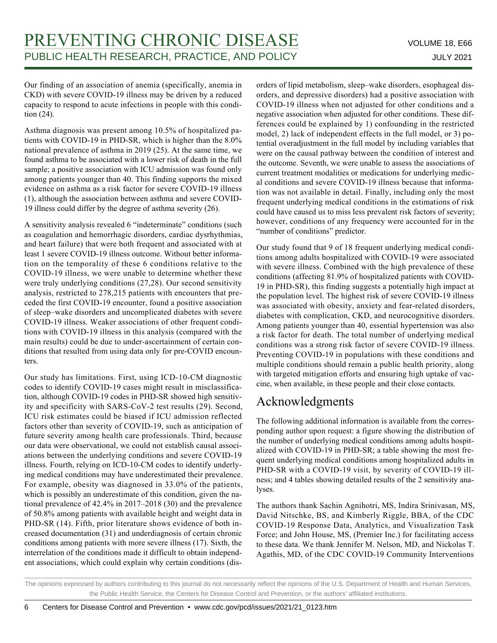Our finding of an association of anemia (specifically, anemia in CKD) with severe COVID-19 illness may be driven by a reduced capacity to respond to acute infections in people with this condition (24).

Asthma diagnosis was present among 10.5% of hospitalized patients with COVID-19 in PHD-SR, which is higher than the 8.0% national prevalence of asthma in 2019 (25). At the same time, we found asthma to be associated with a lower risk of death in the full sample; a positive association with ICU admission was found only among patients younger than 40. This finding supports the mixed evidence on asthma as a risk factor for severe COVID-19 illness (1), although the association between asthma and severe COVID-19 illness could differ by the degree of asthma severity (26).

A sensitivity analysis revealed 6 "indeterminate" conditions (such as coagulation and hemorrhagic disorders, cardiac dysrhythmias, and heart failure) that were both frequent and associated with at least 1 severe COVID-19 illness outcome. Without better information on the temporality of these 6 conditions relative to the COVID-19 illness, we were unable to determine whether these were truly underlying conditions (27,28). Our second sensitivity analysis, restricted to 278,215 patients with encounters that preceded the first COVID-19 encounter, found a positive association of sleep–wake disorders and uncomplicated diabetes with severe COVID-19 illness. Weaker associations of other frequent conditions with COVID-19 illness in this analysis (compared with the main results) could be due to under-ascertainment of certain conditions that resulted from using data only for pre-COVID encounters.

Our study has limitations. First, using ICD-10-CM diagnostic codes to identify COVID-19 cases might result in misclassification, although COVID-19 codes in PHD-SR showed high sensitivity and specificity with SARS-CoV-2 test results (29). Second, ICU risk estimates could be biased if ICU admission reflected factors other than severity of COVID-19, such as anticipation of future severity among health care professionals. Third, because our data were observational, we could not establish causal associations between the underlying conditions and severe COVID-19 illness. Fourth, relying on ICD-10-CM codes to identify underlying medical conditions may have underestimated their prevalence. For example, obesity was diagnosed in 33.0% of the patients, which is possibly an underestimate of this condition, given the national prevalence of 42.4% in 2017–2018 (30) and the prevalence of 50.8% among patients with available height and weight data in PHD-SR (14). Fifth, prior literature shows evidence of both increased documentation (31) and underdiagnosis of certain chronic conditions among patients with more severe illness (17). Sixth, the interrelation of the conditions made it difficult to obtain independent associations, which could explain why certain conditions (disorders of lipid metabolism, sleep–wake disorders, esophageal disorders, and depressive disorders) had a positive association with COVID-19 illness when not adjusted for other conditions and a negative association when adjusted for other conditions. These differences could be explained by 1) confounding in the restricted model, 2) lack of independent effects in the full model, or 3) potential overadjustment in the full model by including variables that were on the causal pathway between the condition of interest and the outcome. Seventh, we were unable to assess the associations of current treatment modalities or medications for underlying medical conditions and severe COVID-19 illness because that information was not available in detail. Finally, including only the most frequent underlying medical conditions in the estimations of risk could have caused us to miss less prevalent risk factors of severity; however, conditions of any frequency were accounted for in the "number of conditions" predictor.

Our study found that 9 of 18 frequent underlying medical conditions among adults hospitalized with COVID-19 were associated with severe illness. Combined with the high prevalence of these conditions (affecting 81.9% of hospitalized patients with COVID-19 in PHD-SR), this finding suggests a potentially high impact at the population level. The highest risk of severe COVID-19 illness was associated with obesity, anxiety and fear-related disorders, diabetes with complication, CKD, and neurocognitive disorders. Among patients younger than 40, essential hypertension was also a risk factor for death. The total number of underlying medical conditions was a strong risk factor of severe COVID-19 illness. Preventing COVID-19 in populations with these conditions and multiple conditions should remain a public health priority, along with targeted mitigation efforts and ensuring high uptake of vaccine, when available, in these people and their close contacts.

## Acknowledgments

The following additional information is available from the corresponding author upon request: a figure showing the distribution of the number of underlying medical conditions among adults hospitalized with COVID-19 in PHD-SR; a table showing the most frequent underlying medical conditions among hospitalized adults in PHD-SR with a COVID-19 visit, by severity of COVID-19 illness; and 4 tables showing detailed results of the 2 sensitivity analyses.

The authors thank Sachin Agnihotri, MS, Indira Srinivasan, MS, David Nitschke, BS, and Kimberly Riggle, BBA, of the CDC COVID-19 Response Data, Analytics, and Visualization Task Force; and John House, MS, (Premier Inc.) for facilitating access to these data. We thank Jennifer M. Nelson, MD, and Nickolas T. Agathis, MD, of the CDC COVID-19 Community Interventions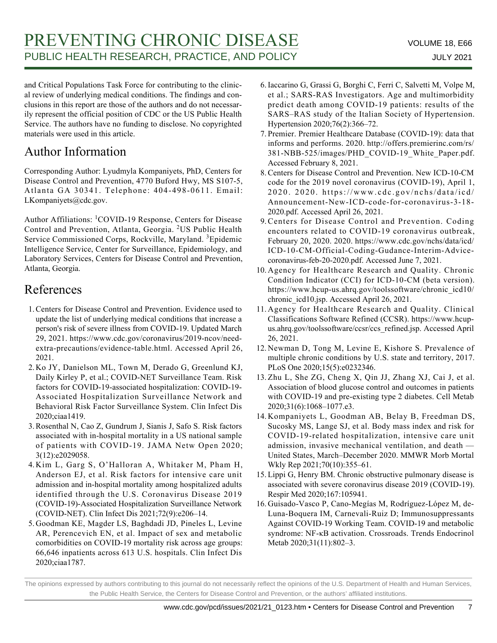and Critical Populations Task Force for contributing to the clinical review of underlying medical conditions. The findings and conclusions in this report are those of the authors and do not necessarily represent the official position of CDC or the US Public Health Service. The authors have no funding to disclose. No copyrighted materials were used in this article.

# Author Information

Corresponding Author: Lyudmyla Kompaniyets, PhD, Centers for Disease Control and Prevention, 4770 Buford Hwy, MS S107-5, Atlanta GA 30341. Telephone: 404-498-0611. Email: LKompaniyets@cdc.gov.

Author Affiliations: <sup>1</sup>COVID-19 Response, Centers for Disease Control and Prevention, Atlanta, Georgia. 2US Public Health Service Commissioned Corps, Rockville, Maryland. <sup>3</sup>Epidemic Intelligence Service, Center for Surveillance, Epidemiology, and Laboratory Services, Centers for Disease Control and Prevention, Atlanta, Georgia.

# References

- 1. Centers for Disease Control and Prevention. Evidence used to update the list of underlying medical conditions that increase a person's risk of severe illness from COVID-19. Updated March 29, 2021. https://www.cdc.gov/coronavirus/2019-ncov/needextra-precautions/evidence-table.html. Accessed April 26, 2021.
- 2. Ko JY, Danielson ML, Town M, Derado G, Greenlund KJ, Daily Kirley P, et al.; COVID-NET Surveillance Team. Risk factors for COVID-19-associated hospitalization: COVID-19- Associated Hospitalization Surveillance Network and Behavioral Risk Factor Surveillance System. Clin Infect Dis 2020;ciaa1419.
- Rosenthal N, Cao Z, Gundrum J, Sianis J, Safo S. Risk factors 3. associated with in-hospital mortality in a US national sample of patients with COVID-19. JAMA Netw Open 2020; 3(12):e2029058.
- 4. Kim L, Garg S, O'Halloran A, Whitaker M, Pham H, Anderson EJ, et al. Risk factors for intensive care unit admission and in-hospital mortality among hospitalized adults identified through the U.S. Coronavirus Disease 2019 (COVID-19)-Associated Hospitalization Surveillance Network (COVID-NET). Clin Infect Dis 2021;72(9):e206–14.
- Goodman KE, Magder LS, Baghdadi JD, Pineles L, Levine 5. AR, Perencevich EN, et al. Impact of sex and metabolic comorbidities on COVID-19 mortality risk across age groups: 66,646 inpatients across 613 U.S. hospitals. Clin Infect Dis 2020;ciaa1787.
- 6. Iaccarino G, Grassi G, Borghi C, Ferri C, Salvetti M, Volpe M, et al.; SARS-RAS Investigators. Age and multimorbidity predict death among COVID-19 patients: results of the SARS–RAS study of the Italian Society of Hypertension. Hypertension 2020;76(2):366–72.
- 7. Premier. Premier Healthcare Database (COVID-19): data that informs and performs. 2020. http://offers.premierinc.com/rs/ 381-NBB-525/images/PHD\_COVID-19\_White\_Paper.pdf. Accessed February 8, 2021.
- 8. Centers for Disease Control and Prevention. New ICD-10-CM code for the 2019 novel coronavirus (COVID-19), April 1, 2020. 2020. https://www.cdc.gov/nchs/data/icd/ Announcement-New-ICD-code-for-coronavirus-3-18- 2020.pdf. Accessed April 26, 2021.
- 9. Centers for Disease Control and Prevention. Coding encounters related to COVID-19 coronavirus outbreak, February 20, 2020. 2020. https://www.cdc.gov/nchs/data/icd/ ICD-10-CM-Official-Coding-Gudance-Interim-Advicecoronavirus-feb-20-2020.pdf. Accessed June 7, 2021.
- 10. Agency for Healthcare Research and Quality. Chronic Condition Indicator (CCI) for ICD-10-CM (beta version). https://www.hcup-us.ahrq.gov/toolssoftware/chronic\_icd10/ chronic\_icd10.jsp. Accessed April 26, 2021.
- 11. Agency for Healthcare Research and Quality. Clinical Classifications Software Refined (CCSR). https://www.hcupus.ahrq.gov/toolssoftware/ccsr/ccs\_refined.jsp. Accessed April 26, 2021.
- 12. Newman D, Tong M, Levine E, Kishore S. Prevalence of multiple chronic conditions by U.S. state and territory, 2017. PLoS One 2020;15(5):e0232346.
- 13. Zhu L, She ZG, Cheng X, Qin JJ, Zhang XJ, Cai J, et al. Association of blood glucose control and outcomes in patients with COVID-19 and pre-existing type 2 diabetes. Cell Metab 2020;31(6):1068–1077.e3.
- 14. Kompaniyets L, Goodman AB, Belay B, Freedman DS, Sucosky MS, Lange SJ, et al. Body mass index and risk for COVID-19-related hospitalization, intensive care unit admission, invasive mechanical ventilation, and death — United States, March–December 2020. MMWR Morb Mortal Wkly Rep 2021;70(10):355–61.
- 15. Lippi G, Henry BM. Chronic obstructive pulmonary disease is associated with severe coronavirus disease 2019 (COVID-19). Respir Med 2020;167:105941.
- 16. Guisado-Vasco P, Cano-Megías M, Rodríguez-López M, de-Luna-Boquera IM, Carnevali-Ruiz D; Immunosuppressants Against COVID-19 Working Team. COVID-19 and metabolic syndrome: NF-κB activation. Crossroads. Trends Endocrinol Metab 2020;31(11):802–3.

The opinions expressed by authors contributing to this journal do not necessarily reflect the opinions of the U.S. Department of Health and Human Services, the Public Health Service, the Centers for Disease Control and Prevention, or the authors' affiliated institutions.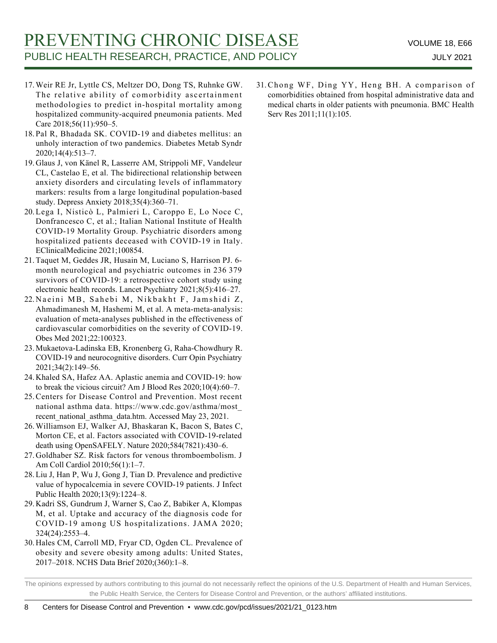# PREVENTING CHRONIC DISEASE VOLUME 18, E66 PUBLIC HEALTH RESEARCH, PRACTICE, AND POLICY **FOUR ALL ASSESSED ASSESS** JULY 2021

- Weir RE Jr, Lyttle CS, Meltzer DO, Dong TS, Ruhnke GW. 17. The relative ability of comorbidity ascertainment methodologies to predict in-hospital mortality among hospitalized community-acquired pneumonia patients. Med Care 2018;56(11):950–5.
- 18. Pal R, Bhadada SK. COVID-19 and diabetes mellitus: an unholy interaction of two pandemics. Diabetes Metab Syndr 2020;14(4):513–7.
- Glaus J, von Känel R, Lasserre AM, Strippoli MF, Vandeleur 19. CL, Castelao E, et al. The bidirectional relationship between anxiety disorders and circulating levels of inflammatory markers: results from a large longitudinal population-based study. Depress Anxiety 2018;35(4):360–71.
- 20. Lega I, Nisticò L, Palmieri L, Caroppo E, Lo Noce C, Donfrancesco C, et al.; Italian National Institute of Health COVID-19 Mortality Group. Psychiatric disorders among hospitalized patients deceased with COVID-19 in Italy. EClinicalMedicine 2021;100854.
- 21. Taquet M, Geddes JR, Husain M, Luciano S, Harrison PJ. 6month neurological and psychiatric outcomes in 236 379 survivors of COVID-19: a retrospective cohort study using electronic health records. Lancet Psychiatry 2021;8(5):416–27.
- Naeini MB, Sahebi M, Nikbakht F, Jamshidi Z, 22. Ahmadimanesh M, Hashemi M, et al. A meta-meta-analysis: evaluation of meta-analyses published in the effectiveness of cardiovascular comorbidities on the severity of COVID-19. Obes Med 2021;22:100323.
- Mukaetova-Ladinska EB, Kronenberg G, Raha-Chowdhury R. 23. COVID-19 and neurocognitive disorders. Curr Opin Psychiatry 2021;34(2):149–56.
- 24. Khaled SA, Hafez AA. Aplastic anemia and COVID-19: how to break the vicious circuit? Am J Blood Res 2020;10(4):60–7.
- 25. Centers for Disease Control and Prevention. Most recent national asthma data. https://www.cdc.gov/asthma/most\_ recent national asthma data.htm. Accessed May 23, 2021.
- Williamson EJ, Walker AJ, Bhaskaran K, Bacon S, Bates C, 26. Morton CE, et al. Factors associated with COVID-19-related death using OpenSAFELY. Nature 2020;584(7821):430–6.
- 27. Goldhaber SZ. Risk factors for venous thromboembolism. J Am Coll Cardiol 2010;56(1):1–7.
- 28. Liu J, Han P, Wu J, Gong J, Tian D. Prevalence and predictive value of hypocalcemia in severe COVID-19 patients. J Infect Public Health 2020;13(9):1224–8.
- 29. Kadri SS, Gundrum J, Warner S, Cao Z, Babiker A, Klompas M, et al. Uptake and accuracy of the diagnosis code for COVID-19 among US hospitalizations. JAMA 2020; 324(24):2553–4.
- 30. Hales CM, Carroll MD, Fryar CD, Ogden CL. Prevalence of obesity and severe obesity among adults: United States, 2017–2018. NCHS Data Brief 2020;(360):1–8.

Chong WF, Ding YY, Heng BH. A comparison of 31. comorbidities obtained from hospital administrative data and medical charts in older patients with pneumonia. BMC Health Serv Res 2011;11(1):105.

The opinions expressed by authors contributing to this journal do not necessarily reflect the opinions of the U.S. Department of Health and Human Services, the Public Health Service, the Centers for Disease Control and Prevention, or the authors' affiliated institutions.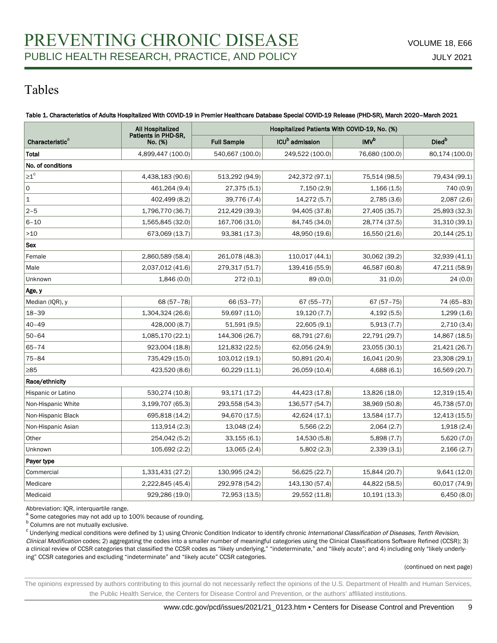# Tables

|                             | All Hospitalized<br>Patients in PHD-SR,<br>No. (%) | Hospitalized Patients With COVID-19, No. (%) |                                 |                  |                          |  |
|-----------------------------|----------------------------------------------------|----------------------------------------------|---------------------------------|------------------|--------------------------|--|
| Characteristic <sup>a</sup> |                                                    | <b>Full Sample</b>                           | ICU <sup>b</sup> admission      | INV <sup>b</sup> | <b>Died</b> <sup>b</sup> |  |
| Total                       | 4,899,447 (100.0)                                  | 540,667 (100.0)                              | 249,522 (100.0)                 | 76,680 (100.0)   | 80,174 (100.0)           |  |
| No. of conditions           |                                                    |                                              |                                 |                  |                          |  |
| $\geq 1^c$                  | 4,438,183 (90.6)                                   | 513,292 (94.9)                               | 242,372 (97.1)                  | 75,514 (98.5)    | 79,434 (99.1)            |  |
| 0                           | 461,264 (9.4)                                      | 27,375 (5.1)                                 | 7,150 (2.9)                     | 1,166(1.5)       | 740 (0.9)                |  |
| $\vert$ 1                   | 402,499 (8.2)                                      | 39,776 (7.4)                                 | 14,272 (5.7)                    | 2,785(3.6)       | 2,087(2.6)               |  |
| $2 - 5$                     | 1,796,770 (36.7)                                   | 212,429 (39.3)                               | 94,405 (37.8)                   | 27,405 (35.7)    | 25,893 (32.3)            |  |
| $6 - 10$                    | 1,565,845 (32.0)                                   | 167,706 (31.0)                               | 84,745 (34.0)                   | 28,774 (37.5)    | 31,310 (39.1)            |  |
| $>10$                       | 673,069 (13.7)                                     | 93,381 (17.3)                                | 48,950 (19.6)                   | 16,550 (21.6)    | 20,144 (25.1)            |  |
| <b>Sex</b>                  |                                                    |                                              |                                 |                  |                          |  |
| Female                      | 2,860,589 (58.4)                                   | 261,078 (48.3)                               | 110,017 (44.1)                  | 30,062 (39.2)    | 32,939 (41.1)            |  |
| Male                        | 2,037,012 (41.6)                                   | 279,317 (51.7)                               | 139,416 (55.9)                  | 46,587 (60.8)    | 47,211 (58.9)            |  |
| Unknown                     | 1,846(0.0)                                         | 272(0.1)                                     | 89 (0.0)                        | 31(0.0)          | 24(0.0)                  |  |
| Age, y                      |                                                    |                                              |                                 |                  |                          |  |
| Median (IQR), y             | $68(57 - 78)$                                      | 66 (53-77)                                   | $67(55 - 77)$                   | $67(57 - 75)$    | 74 (65-83)               |  |
| $18 - 39$                   | 1,304,324 (26.6)                                   | 59,697 (11.0)                                | 19,120 (7.7)                    | 4,192(5.5)       | 1,299(1.6)               |  |
| $40 - 49$                   | 428,000 (8.7)                                      | 51,591 (9.5)                                 | 22,605 (9.1)                    | 5,913(7.7)       | 2,710(3.4)               |  |
| $50 - 64$                   | 1,085,170 (22.1)                                   | 144,306 (26.7)                               | 68,791 (27.6)                   | 22,791 (29.7)    | 14,867 (18.5)            |  |
| $65 - 74$                   | 923,004 (18.8)                                     | 121,832 (22.5)                               | 62,056 (24.9)                   | 23,055 (30.1)    | 21,421 (26.7)            |  |
| $75 - 84$                   | 735,429 (15.0)                                     | 103,012 (19.1)                               | 50,891 (20.4)                   | 16,041 (20.9)    |                          |  |
| $\geq 85$                   | 423,520 (8.6)                                      | 60,229 (11.1)                                | 26,059 (10.4)                   | 4,688(6.1)       | 16,569 (20.7)            |  |
| Race/ethnicity              |                                                    |                                              |                                 |                  |                          |  |
| Hispanic or Latino          | 530,274 (10.8)                                     | 93,171 (17.2)                                | 44,423 (17.8)                   | 13,826 (18.0)    |                          |  |
| Non-Hispanic White          | 3,199,707 (65.3)                                   | 293,558 (54.3)                               | 136,577 (54.7)<br>38,969 (50.8) |                  | 45,738 (57.0)            |  |
| Non-Hispanic Black          | 695,818 (14.2)                                     | 94,670 (17.5)                                | 42,624 (17.1)                   | 13,584 (17.7)    | 12,413 (15.5)            |  |
| Non-Hispanic Asian          | 113,914 (2.3)                                      | 13,048 (2.4)                                 | 5,566(2.2)                      | 2,064(2.7)       | 1,918(2.4)               |  |
| Other                       | 254,042 (5.2)                                      | 33,155(6.1)                                  | 14,530 (5.8)                    | 5,898(7.7)       | 5,620 (7.0)              |  |
| Unknown                     | 105,692 (2.2)                                      | 13,065 (2.4)                                 | 5,802(2.3)                      | 2,339(3.1)       | 2,166(2.7)               |  |
| Payer type                  |                                                    |                                              |                                 |                  |                          |  |
| Commercial                  | 1,331,431 (27.2)                                   | 130,995 (24.2)                               | 56,625 (22.7)                   | 15,844 (20.7)    | 9,641 (12.0)             |  |
| Medicare                    | 2,222,845 (45.4)                                   | 292,978 (54.2)                               | 143,130 (57.4)                  | 44,822 (58.5)    | 60,017 (74.9)            |  |
| Medicaid                    | 929,286 (19.0)                                     | 72,953 (13.5)                                | 29,552 (11.8)                   | 10,191 (13.3)    | 6,450(8.0)               |  |

Table 1. Characteristics of Adults Hospitalized With COVID-19 in Premier Healthcare Database Special COVID-19 Release (PHD-SR), March 2020–March 2021

Abbreviation: IQR, interquartile range.

a Some categories may not add up to 100% because of rounding.

**b** Columns are not mutually exclusive.

<sup>c</sup> Underlying medical conditions were defined by 1) using Chronic Condition Indicator to identify chronic International Classification of Diseases, Tenth Revision, Clinical Modification codes; 2) aggregating the codes into a smaller number of meaningful categories using the Clinical Classifications Software Refined (CCSR); 3) a clinical review of CCSR categories that classified the CCSR codes as "likely underlying," "indeterminate," and "likely acute"; and 4) including only "likely underlying" CCSR categories and excluding "indeterminate" and "likely acute" CCSR categories.

(continued on next page)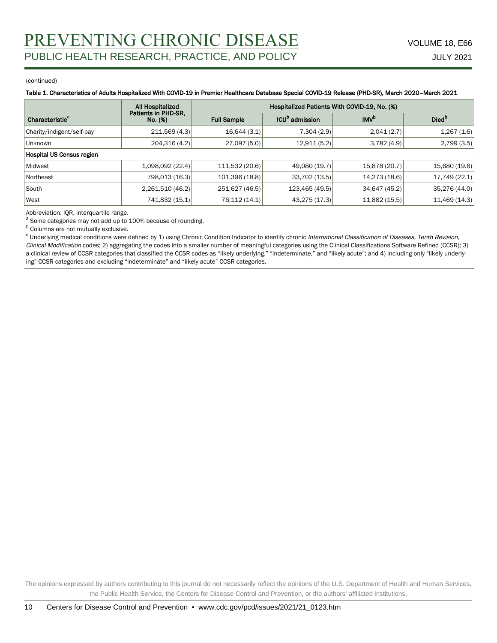#### (continued)

#### Table 1. Characteristics of Adults Hospitalized With COVID-19 in Premier Healthcare Database Special COVID-19 Release (PHD-SR), March 2020–March 2021

|                             | <b>All Hospitalized</b>        | Hospitalized Patients With COVID-19, No. (%) |                            |                  |                   |  |
|-----------------------------|--------------------------------|----------------------------------------------|----------------------------|------------------|-------------------|--|
| Characteristic <sup>a</sup> | Patients in PHD-SR,<br>No. (%) | <b>Full Sample</b>                           | ICU <sup>p</sup> admission | IMV <sup>b</sup> | Died <sup>p</sup> |  |
| Charity/indigent/self-pay   | 211,569(4.3)                   | 16,644(3.1)                                  | 7,304 (2.9)                | 2,041(2.7)       | 1,267(1.6)        |  |
| <b>Unknown</b>              | 204,316(4.2)                   | 27,097(5.0)                                  | 12,911 (5.2)               | 3,782(4.9)       | 2,799(3.5)        |  |
| Hospital US Census region   |                                |                                              |                            |                  |                   |  |
| Midwest                     | 1,098,092(22.4)                | 111,532 (20.6)                               | 49,080 (19.7)              | 15,878 (20.7)    | 15,680 (19.6)     |  |
| Northeast                   | 798,013 (16.3)                 | 101,396 (18.8)                               | 33,702 (13.5)              | 14,273 (18.6)    | 17,749 (22.1)     |  |
| South                       | 2,261,510(46.2)                | 251,627 (46.5)                               | 123,465 (49.5)             | 34,647 (45.2)    | 35,276 (44.0)     |  |
| West                        | 741,832 (15.1)                 | 76,112 (14.1)                                | 43,275 (17.3)              | 11,882 (15.5)    | 11,469 (14.3)     |  |

Abbreviation: IQR, interquartile range.

a Some categories may not add up to 100% because of rounding.

**b** Columns are not mutually exclusive.

<sup>c</sup> Underlying medical conditions were defined by 1) using Chronic Condition Indicator to identify chronic International Classification of Diseases, Tenth Revision, Clinical Modification codes; 2) aggregating the codes into a smaller number of meaningful categories using the Clinical Classifications Software Refined (CCSR); 3) a clinical review of CCSR categories that classified the CCSR codes as "likely underlying," "indeterminate," and "likely acute"; and 4) including only "likely underlying" CCSR categories and excluding "indeterminate" and "likely acute" CCSR categories.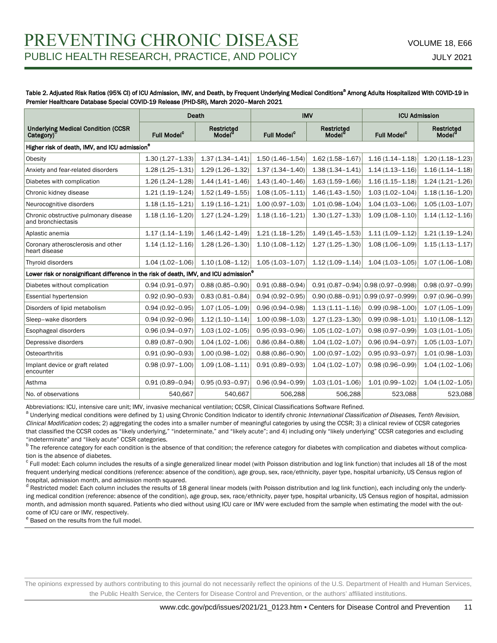### Table 2. Adjusted Risk Ratios (95% CI) of ICU Admission, IMV, and Death, by Frequent Underlying Medical Conditions<sup>a</sup> Among Adults Hospitalized With COVID-19 in Premier Healthcare Database Special COVID-19 Release (PHD-SR), March 2020–March 2021

|                                                                                                   |                         | Death                            | <b>IMV</b>              |                                  | <b>ICU Admission</b>                   |                                  |  |  |
|---------------------------------------------------------------------------------------------------|-------------------------|----------------------------------|-------------------------|----------------------------------|----------------------------------------|----------------------------------|--|--|
| <b>Underlying Medical Condition (CCSR</b><br>Category) <sup>t</sup>                               | Full Model <sup>c</sup> | Restricted<br>Model <sup>a</sup> | Full Model <sup>c</sup> | Restricted<br>Model <sup>c</sup> | <b>Full Model<sup>c</sup></b>          | Restricted<br>Model <sup>d</sup> |  |  |
| Higher risk of death, IMV, and ICU admission <sup>e</sup>                                         |                         |                                  |                         |                                  |                                        |                                  |  |  |
| Obesity                                                                                           | $1.30(1.27 - 1.33)$     | $1.37(1.34 - 1.41)$              | $1.50(1.46 - 1.54)$     | $1.62(1.58 - 1.67)$              | $1.16(1.14 - 1.18)$                    | $1.20(1.18 - 1.23)$              |  |  |
| Anxiety and fear-related disorders                                                                | $1.28(1.25 - 1.31)$     | $1.29(1.26 - 1.32)$              | $1.37(1.34 - 1.40)$     | $1.38(1.34 - 1.41)$              | $1.14(1.13 - 1.16)$                    | $1.16(1.14 - 1.18)$              |  |  |
| Diabetes with complication                                                                        | $1.26(1.24 - 1.28)$     | $1.44(1.41 - 1.46)$              | $1.43(1.40 - 1.46)$     | $1.63(1.59 - 1.66)$              | $1.16(1.15 - 1.18)$                    | $1.24(1.21 - 1.26)$              |  |  |
| Chronic kidney disease                                                                            | $1.21(1.19 - 1.24)$     | $1.52(1.49 - 1.55)$              | $1.08(1.05 - 1.11)$     | $1.46(1.43 - 1.50)$              | $1.03(1.02 - 1.04)$                    | $1.18(1.16 - 1.20)$              |  |  |
| Neurocognitive disorders                                                                          | $1.18(1.15 - 1.21)$     | $1.19(1.16 - 1.21)$              | $1.00(0.97 - 1.03)$     | $1.01(0.98 - 1.04)$              | $1.04(1.03 - 1.06)$                    | $1.05(1.03 - 1.07)$              |  |  |
| Chronic obstructive pulmonary disease<br>and bronchiectasis                                       | $1.18(1.16 - 1.20)$     | $1.27(1.24 - 1.29)$              | $1.18(1.16 - 1.21)$     | $1.30(1.27 - 1.33)$              | $1.09(1.08 - 1.10)$                    | $1.14(1.12 - 1.16)$              |  |  |
| Aplastic anemia                                                                                   | $1.17(1.14 - 1.19)$     | $1.46(1.42 - 1.49)$              | $1.21(1.18 - 1.25)$     | $1.49(1.45 - 1.53)$              | $1.11(1.09 - 1.12)$                    | $1.21(1.19 - 1.24)$              |  |  |
| Coronary atherosclerosis and other<br>heart disease                                               | $1.14(1.12 - 1.16)$     | $1.28(1.26 - 1.30)$              | $1.10(1.08 - 1.12)$     | $1.27(1.25 - 1.30)$              | $1.08(1.06 - 1.09)$                    | $1.15(1.13 - 1.17)$              |  |  |
| Thyroid disorders                                                                                 | $1.04(1.02 - 1.06)$     | $1.10(1.08 - 1.12)$              | $1.05(1.03 - 1.07)$     | $1.12(1.09 - 1.14)$              | $1.04(1.03 - 1.05)$                    | $1.07(1.06 - 1.08)$              |  |  |
| Lower risk or nonsignificant difference in the risk of death, IMV, and ICU admission <sup>e</sup> |                         |                                  |                         |                                  |                                        |                                  |  |  |
| Diabetes without complication                                                                     | $0.94(0.91 - 0.97)$     | $0.88(0.85 - 0.90)$              | $0.91(0.88 - 0.94)$     |                                  | $0.91(0.87 - 0.94) 0.98(0.97 - 0.998)$ | $0.98(0.97 - 0.99)$              |  |  |
| <b>Essential hypertension</b>                                                                     | $0.92(0.90 - 0.93)$     | $0.83(0.81 - 0.84)$              | $0.94(0.92 - 0.95)$     |                                  | $0.90(0.88 - 0.91) 0.99(0.97 - 0.999)$ | $0.97(0.96 - 0.99)$              |  |  |
| Disorders of lipid metabolism                                                                     | $0.94(0.92 - 0.95)$     | $1.07(1.05 - 1.09)$              | $0.96(0.94 - 0.98)$     | $1.13(1.11 - 1.16)$              | $0.99(0.98 - 1.00)$                    | $1.07(1.05 - 1.09)$              |  |  |
| Sleep-wake disorders                                                                              | $0.94(0.92 - 0.96)$     | $1.12(1.10 - 1.14)$              | $1.00(0.98 - 1.03)$     | $1.27(1.23 - 1.30)$              | $0.99(0.98 - 1.01)$                    | $1.10(1.08 - 1.12)$              |  |  |
| Esophageal disorders                                                                              | $0.96(0.94 - 0.97)$     | $1.03(1.02 - 1.05)$              | $0.95(0.93 - 0.96)$     | $1.05(1.02 - 1.07)$              | $0.98(0.97 - 0.99)$                    | $1.03(1.01 - 1.05)$              |  |  |
| Depressive disorders                                                                              | $0.89(0.87 - 0.90)$     | $1.04(1.02 - 1.06)$              | $0.86(0.84 - 0.88)$     | $1.04(1.02 - 1.07)$              | $0.96(0.94 - 0.97)$                    | $1.05(1.03 - 1.07)$              |  |  |
| Osteoarthritis                                                                                    | $0.91(0.90 - 0.93)$     | $1.00(0.98 - 1.02)$              | $0.88(0.86 - 0.90)$     | $1.00(0.97 - 1.02)$              | $0.95(0.93 - 0.97)$                    | $1.01(0.98 - 1.03)$              |  |  |
| Implant device or graft related<br>encounter                                                      | $0.98(0.97 - 1.00)$     | $1.09(1.08 - 1.11)$              | $0.91(0.89 - 0.93)$     | $1.04(1.02 - 1.07)$              | $0.98(0.96 - 0.99)$                    | $1.04(1.02 - 1.06)$              |  |  |
| Asthma                                                                                            | $0.91(0.89 - 0.94)$     | $0.95(0.93 - 0.97)$              | $0.96(0.94 - 0.99)$     | $1.03(1.01 - 1.06)$              | $1.01(0.99 - 1.02)$                    | $1.04(1.02 - 1.05)$              |  |  |
| No. of observations                                                                               | 540.667                 | 540.667                          | 506,288                 | 506,288                          | 523,088                                | 523,088                          |  |  |

Abbreviations: ICU, intensive care unit; IMV, invasive mechanical ventilation; CCSR, Clinical Classifications Software Refined.

a Underlying medical conditions were defined by 1) using Chronic Condition Indicator to identify chronic International Classification of Diseases, Tenth Revision, Clinical Modification codes; 2) aggregating the codes into a smaller number of meaningful categories by using the CCSR; 3) a clinical review of CCSR categories that classified the CCSR codes as "likely underlying," "indeterminate," and "likely acute"; and 4) including only "likely underlying" CCSR categories and excluding "indeterminate" and "likely acute" CCSR categories.

<sup>b</sup> The reference category for each condition is the absence of that condition; the reference category for diabetes with complication and diabetes without complication is the absence of diabetes.

<sup>c</sup> Full model: Each column includes the results of a single generalized linear model (with Poisson distribution and log link function) that includes all 18 of the most frequent underlying medical conditions (reference: absence of the condition), age group, sex, race/ethnicity, payer type, hospital urbanicity, US Census region of hospital, admission month, and admission month squared.

<sup>d</sup> Restricted model: Each column includes the results of 18 general linear models (with Poisson distribution and log link function), each including only the underlying medical condition (reference: absence of the condition), age group, sex, race/ethnicity, payer type, hospital urbanicity, US Census region of hospital, admission month, and admission month squared. Patients who died without using ICU care or IMV were excluded from the sample when estimating the model with the outcome of ICU care or IMV, respectively.

<sup>e</sup> Based on the results from the full model.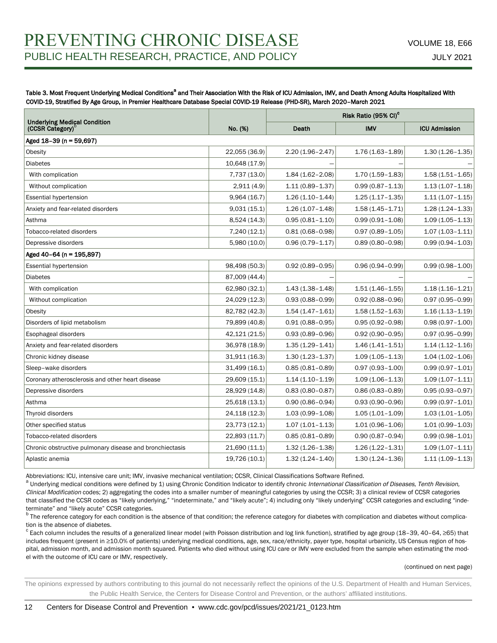Table 3. Most Frequent Underlying Medical Conditions<sup>a</sup> and Their Association With the Risk of ICU Admission, IMV, and Death Among Adults Hospitalized With COVID-19, Stratified By Age Group, in Premier Healthcare Database Special COVID-19 Release (PHD-SR), March 2020–March 2021

|                                                                     |               |                     | Risk Ratio (95% CI) <sup>c</sup> |                      |  |
|---------------------------------------------------------------------|---------------|---------------------|----------------------------------|----------------------|--|
| <b>Underlying Medical Condition</b><br>(CCSR Category) <sup>t</sup> | No. (%)       | Death               | <b>IMV</b>                       | <b>ICU Admission</b> |  |
| Aged 18-39 (n = 59,697)                                             |               |                     |                                  |                      |  |
| Obesity                                                             | 22,055 (36.9) | $2.20(1.96 - 2.47)$ | $1.76(1.63 - 1.89)$              | $1.30(1.26 - 1.35)$  |  |
| <b>Diabetes</b>                                                     | 10,648 (17.9) |                     |                                  |                      |  |
| With complication                                                   | 7,737 (13.0)  | $1.84(1.62 - 2.08)$ | $1.70(1.59 - 1.83)$              | $1.58(1.51 - 1.65)$  |  |
| Without complication                                                | 2,911(4.9)    | $1.11(0.89 - 1.37)$ | $0.99(0.87 - 1.13)$              | $1.13(1.07 - 1.18)$  |  |
| Essential hypertension                                              | 9,964(16.7)   | $1.26(1.10-1.44)$   | $1.25(1.17 - 1.35)$              | $1.11(1.07 - 1.15)$  |  |
| Anxiety and fear-related disorders                                  | 9,031(15.1)   | $1.26(1.07 - 1.48)$ | $1.58(1.45 - 1.71)$              | $1.28(1.24 - 1.33)$  |  |
| Asthma                                                              | 8,524 (14.3)  | $0.95(0.81 - 1.10)$ | $0.99(0.91 - 1.08)$              | $1.09(1.05 - 1.13)$  |  |
| Tobacco-related disorders                                           | 7,240 (12.1)  | $0.81(0.68 - 0.98)$ | $0.97(0.89 - 1.05)$              | $1.07(1.03 - 1.11)$  |  |
| Depressive disorders                                                | 5,980 (10.0)  | $0.96(0.79 - 1.17)$ | $0.89(0.80 - 0.98)$              | $0.99(0.94 - 1.03)$  |  |
| Aged 40-64 (n = 195,897)                                            |               |                     |                                  |                      |  |
| <b>Essential hypertension</b>                                       | 98,498 (50.3) | $0.92(0.89 - 0.95)$ | $0.96(0.94 - 0.99)$              | $0.99(0.98 - 1.00)$  |  |
| <b>Diabetes</b>                                                     | 87,009 (44.4) |                     |                                  |                      |  |
| With complication                                                   | 62,980 (32.1) | $1.43(1.38 - 1.48)$ | $1.51(1.46 - 1.55)$              | $1.18(1.16 - 1.21)$  |  |
| Without complication                                                | 24,029 (12.3) | $0.93(0.88 - 0.99)$ | $0.92(0.88 - 0.96)$              | $0.97(0.95 - 0.99)$  |  |
| Obesity                                                             | 82,782 (42.3) | $1.54(1.47 - 1.61)$ | $1.58(1.52 - 1.63)$              | $1.16(1.13 - 1.19)$  |  |
| Disorders of lipid metabolism                                       | 79,899 (40.8) | $0.91(0.88 - 0.95)$ | $0.95(0.92 - 0.98)$              | $0.98(0.97 - 1.00)$  |  |
| Esophageal disorders                                                | 42,121 (21.5) | $0.93(0.89 - 0.96)$ | $0.92(0.90 - 0.95)$              | $0.97(0.95 - 0.99)$  |  |
| Anxiety and fear-related disorders                                  | 36,978 (18.9) | $1.35(1.29 - 1.41)$ | $1.46(1.41 - 1.51)$              | $1.14(1.12 - 1.16)$  |  |
| Chronic kidney disease                                              | 31,911 (16.3) | $1.30(1.23 - 1.37)$ | $1.09(1.05 - 1.13)$              | $1.04(1.02 - 1.06)$  |  |
| Sleep-wake disorders                                                | 31,499 (16.1) | $0.85(0.81 - 0.89)$ | $0.97(0.93 - 1.00)$              | $0.99(0.97 - 1.01)$  |  |
| Coronary atherosclerosis and other heart disease                    | 29,609 (15.1) | $1.14(1.10 - 1.19)$ | $1.09(1.06 - 1.13)$              | $1.09(1.07 - 1.11)$  |  |
| Depressive disorders                                                | 28,929 (14.8) | $0.83(0.80 - 0.87)$ | $0.86(0.83 - 0.89)$              | $0.95(0.93 - 0.97)$  |  |
| Asthma                                                              | 25,618 (13.1) | $0.90(0.86 - 0.94)$ | $0.93(0.90 - 0.96)$              | $0.99(0.97 - 1.01)$  |  |
| Thyroid disorders                                                   | 24,118 (12.3) | $1.03(0.99 - 1.08)$ | $1.05(1.01 - 1.09)$              | $1.03(1.01 - 1.05)$  |  |
| Other specified status                                              | 23,773 (12.1) | $1.07(1.01 - 1.13)$ | $1.01(0.96 - 1.06)$              | $1.01(0.99 - 1.03)$  |  |
| Tobacco-related disorders                                           | 22,893 (11.7) | $0.85(0.81 - 0.89)$ | $0.90(0.87 - 0.94)$              | $0.99(0.98 - 1.01)$  |  |
| Chronic obstructive pulmonary disease and bronchiectasis            | 21,690 (11.1) | $1.32(1.26 - 1.38)$ | $1.26(1.22 - 1.31)$              | $1.09(1.07 - 1.11)$  |  |
| Aplastic anemia                                                     | 19,726 (10.1) | $1.32(1.24 - 1.40)$ | $1.30(1.24 - 1.36)$              | $1.11(1.09 - 1.13)$  |  |

Abbreviations: ICU, intensive care unit; IMV, invasive mechanical ventilation; CCSR, Clinical Classifications Software Refined.

<sup>a</sup> Underlying medical conditions were defined by 1) using Chronic Condition Indicator to identify chronic International Classification of Diseases, Tenth Revision, Clinical Modification codes; 2) aggregating the codes into a smaller number of meaningful categories by using the CCSR; 3) a clinical review of CCSR categories that classified the CCSR codes as "likely underlying," "indeterminate," and "likely acute"; 4) including only "likely underlying" CCSR categories and excluding "indeterminate" and "likely acute" CCSR categories.

<sup>b</sup> The reference category for each condition is the absence of that condition; the reference category for diabetes with complication and diabetes without complication is the absence of diabetes.

 $\rm{c}$  Each column includes the results of a generalized linear model (with Poisson distribution and log link function), stratified by age group (18–39, 40–64, ≥65) that includes frequent (present in ≥10.0% of patients) underlying medical conditions, age, sex, race/ethnicity, payer type, hospital urbanicity, US Census region of hospital, admission month, and admission month squared. Patients who died without using ICU care or IMV were excluded from the sample when estimating the model with the outcome of ICU care or IMV, respectively.

#### (continued on next page)